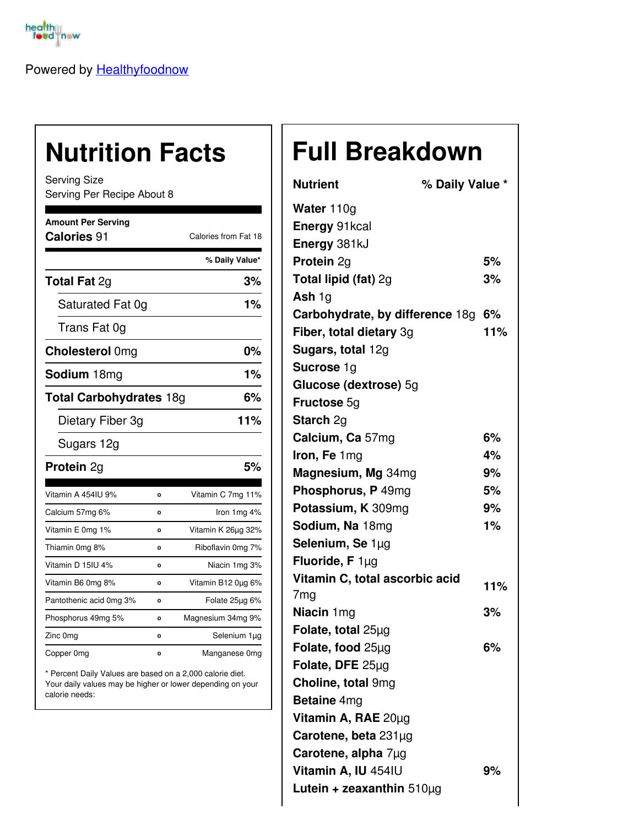

Powered by [Healthyfoodnow](https://healthyfoodnow.com)

## **Nutrition Facts**

Serving Size Serving Per Recipe About 8

| <b>Amount Per Serving</b><br>Calories 91 |         | Calories from Fat 18 |  |
|------------------------------------------|---------|----------------------|--|
|                                          |         | % Daily Value*       |  |
| <b>Total Fat 2g</b>                      |         | 3%                   |  |
| Saturated Fat 0g                         |         | 1%                   |  |
| Trans Fat 0g                             |         |                      |  |
| <b>Cholesterol Omg</b>                   |         | 0%                   |  |
| <b>Sodium</b> 18mg                       |         | 1%                   |  |
| <b>Total Carbohydrates 18g</b>           |         | 6%                   |  |
| Dietary Fiber 3g                         |         | 11%                  |  |
| Sugars 12g                               |         |                      |  |
| <b>Protein 2g</b>                        |         | 5%                   |  |
| Vitamin A 454IU 9%                       | o       | Vitamin C 7mg 11%    |  |
| Calcium 57mg 6%                          | O       | Iron $1mg$ 4%        |  |
| Vitamin E 0mg 1%                         | o       | Vitamin K 26µg 32%   |  |
| Thiamin 0mg 8%                           | $\circ$ | Riboflavin 0mg 7%    |  |
| Vitamin D 15IU 4%                        | o       | Niacin 1mg 3%        |  |
| Vitamin B6 0mg 8%                        | $\circ$ | Vitamin B12 0µg 6%   |  |
| Pantothenic acid 0mg 3%                  | $\circ$ | Folate 25µg 6%       |  |
| Phosphorus 49mg 5%                       | $\circ$ | Magnesium 34mg 9%    |  |
| Zinc 0mg                                 | O       | Selenium 1µg         |  |
| Copper 0mg                               | $\circ$ | Manganese 0mg        |  |

\* Percent Daily Values are based on a 2,000 calorie diet. Your daily values may be higher or lower depending on your calorie needs:

## **Full Breakdown**

| <b>Nutrient</b>                 | % Daily Value * |     |
|---------------------------------|-----------------|-----|
| Water 110g                      |                 |     |
| <b>Energy 91kcal</b>            |                 |     |
| Energy 381kJ                    |                 |     |
| Protein 2g                      |                 | 5%  |
| <b>Total lipid (fat) 2g</b>     |                 | 3%  |
| Ash $1g$                        |                 |     |
| Carbohydrate, by difference 18g |                 | 6%  |
| Fiber, total dietary 3g         |                 | 11% |
| Sugars, total 12g               |                 |     |
| Sucrose 1g                      |                 |     |
| Glucose (dextrose) 5g           |                 |     |
| <b>Fructose 5g</b>              |                 |     |
| <b>Starch 2g</b>                |                 |     |
| Calcium, Ca 57mg                |                 | 6%  |
| Iron, Fe 1mg                    |                 | 4%  |
| Magnesium, Mg 34mg              |                 | 9%  |
| Phosphorus, P 49mg              |                 | 5%  |
| Potassium, K 309mg              |                 | 9%  |
| Sodium, Na 18mg                 |                 | 1%  |
| Selenium, Se 1µg                |                 |     |
| Fluoride, $F 1\mu g$            |                 |     |
| Vitamin C, total ascorbic acid  |                 | 11% |
| 7 <sub>mg</sub>                 |                 |     |
| Niacin 1mg                      |                 | 3%  |
| Folate, total 25µg              |                 |     |
| Folate, food 25µg               |                 | 6%  |
| Folate, DFE 25µg                |                 |     |
| Choline, total 9mg              |                 |     |
| <b>Betaine</b> 4mg              |                 |     |
| Vitamin A, RAE 20µg             |                 |     |
| Carotene, beta 231µg            |                 |     |
| Carotene, alpha 7µg             |                 |     |
| Vitamin A, IU 454IU             |                 | 9%  |
| Lutein + zeaxanthin $510\mu g$  |                 |     |